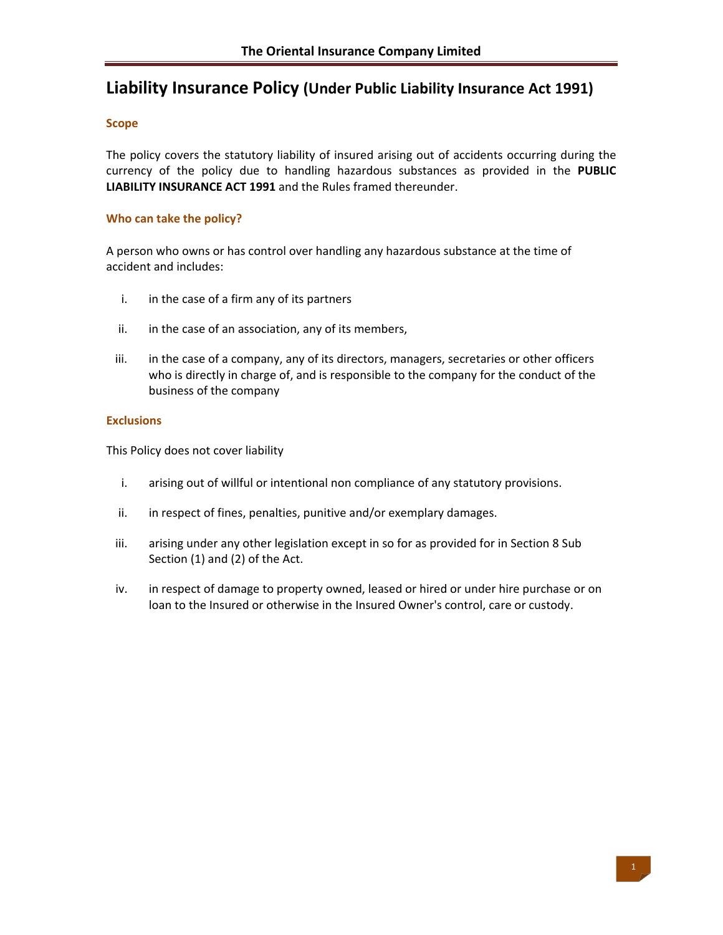# **Liability Insurance Policy (Under Public Liability Insurance Act 1991)**

## **Scope**

The policy covers the statutory liability of insured arising out of accidents occurring during the currency of the policy due to handling hazardous substances as provided in the **PUBLIC LIABILITY INSURANCE ACT 1991** and the Rules framed thereunder.

## **Who can take the policy?**

A person who owns or has control over handling any hazardous substance at the time of accident and includes:

- i. in the case of a firm any of its partners
- ii. in the case of an association, any of its members,
- iii. in the case of a company, any of its directors, managers, secretaries or other officers who is directly in charge of, and is responsible to the company for the conduct of the business of the company

## **Exclusions**

This Policy does not cover liability

- i. arising out of willful or intentional non compliance of any statutory provisions.
- ii. in respect of fines, penalties, punitive and/or exemplary damages.
- iii. arising under any other legislation except in so for as provided for in Section 8 Sub Section (1) and (2) of the Act.
- iv. in respect of damage to property owned, leased or hired or under hire purchase or on loan to the Insured or otherwise in the Insured Owner's control, care or custody.